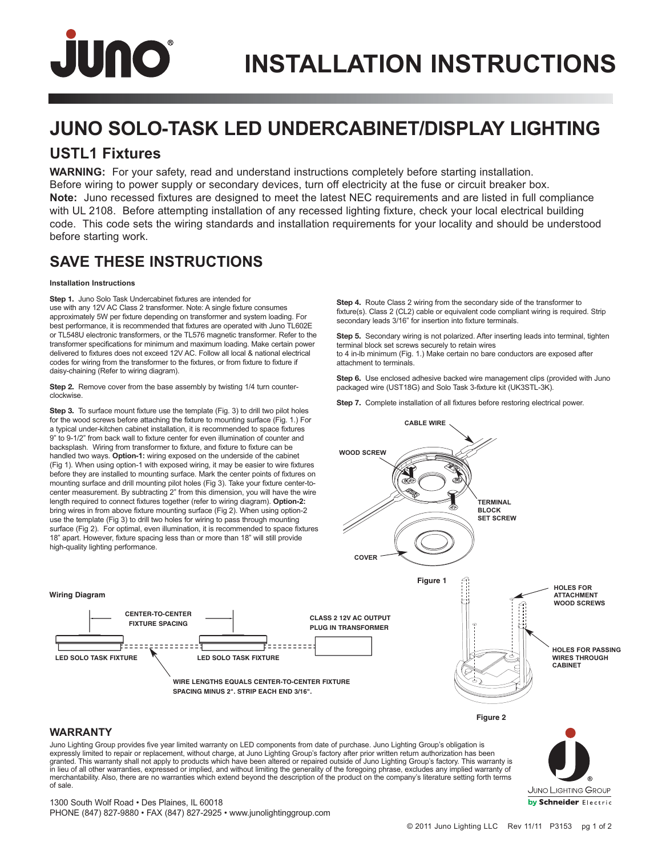# JUNO

## **JUNO SOLO-TASK LED UNDERCABINET/DISPLAY LIGHTING**

### **USTL1 Fixtures**

**WARNING:** For your safety, read and understand instructions completely before starting installation. Before wiring to power supply or secondary devices, turn off electricity at the fuse or circuit breaker box. **Note:** Juno recessed fixtures are designed to meet the latest NEC requirements and are listed in full compliance with UL 2108. Before attempting installation of any recessed lighting fixture, check your local electrical building code. This code sets the wiring standards and installation requirements for your locality and should be understood before starting work.

### **SAVE THESE INSTRUCTIONS**

#### **Installation Instructions**

**Step 1.** Juno Solo Task Undercabinet fixtures are intended for use with any 12V AC Class 2 transformer. Note: A single fixture consumes approximately 5W per fixture depending on transformer and system loading. For best performance, it is recommended that fixtures are operated with Juno TL602E or TL548U electronic transformers, or the TL576 magnetic transformer. Refer to the transformer specifications for minimum and maximum loading. Make certain power delivered to fixtures does not exceed 12V AC. Follow all local & national electrical codes for wiring from the transformer to the fixtures, or from fixture to fixture if daisy-chaining (Refer to wiring diagram).

**Step 2.** Remove cover from the base assembly by twisting 1/4 turn counterclockwise.

**Step 3.** To surface mount fixture use the template (Fig. 3) to drill two pilot holes for the wood screws before attaching the fixture to mounting surface (Fig. 1.) For a typical under-kitchen cabinet installation, it is recommended to space fixtures 9" to 9-1/2" from back wall to fixture center for even illumination of counter and backsplash. Wiring from transformer to fixture, and fixture to fixture can be handled two ways. **Option-1:** wiring exposed on the underside of the cabinet (Fig 1). When using option-1 with exposed wiring, it may be easier to wire fixtures before they are installed to mounting surface. Mark the center points of fixtures on mounting surface and drill mounting pilot holes (Fig 3). Take your fixture center-tocenter measurement. By subtracting 2" from this dimension, you will have the wire length required to connect fixtures together (refer to wiring diagram). **Option-2:** bring wires in from above fixture mounting surface (Fig 2). When using option-2 use the template (Fig 3) to drill two holes for wiring to pass through mounting surface (Fig 2). For optimal, even illumination, it is recommended to space fixtures 18" apart. However, fixture spacing less than or more than 18" will still provide high-quality lighting performance.

**Step 4.** Route Class 2 wiring from the secondary side of the transformer to fixture(s). Class 2 (CL2) cable or equivalent code compliant wiring is required. Strip secondary leads 3/16" for insertion into fixture terminals.

**Step 5.** Secondary wiring is not polarized. After inserting leads into terminal, tighten terminal block set screws securely to retain wires to 4 in-lb minimum (Fig. 1.) Make certain no bare conductors are exposed after attachment to terminals.

**Step 6.** Use enclosed adhesive backed wire management clips (provided with Juno packaged wire (UST18G) and Solo Task 3-fixture kit (UK3STL-3K).

**Step 7.** Complete installation of all fixtures before restoring electrical power.



#### **WARRANTY**

**Wiring Diagram**

Juno Lighting Group provides five year limited warranty on LED components from date of purchase. Juno Lighting Group's obligation is expressly limited to repair or replacement, without charge, at Juno Lighting Group's factory after prior written return authorization has been<br>granted. This warranty shall not apply to products which have been altered or r in lieu of all other warranties, expressed or implied, and without limiting the generality of the foregoing phrase, excludes any implied warranty of merchantability. Also, there are no warranties which extend beyond the description of the product on the company's literature setting forth terms of sale.

JUNO LIGHTING GROUP by Schneider Electric

1300 South Wolf Road • Des Plaines, IL 60018 PHONE (847) 827-9880 • FAX (847) 827-2925 • www.junolightinggroup.com